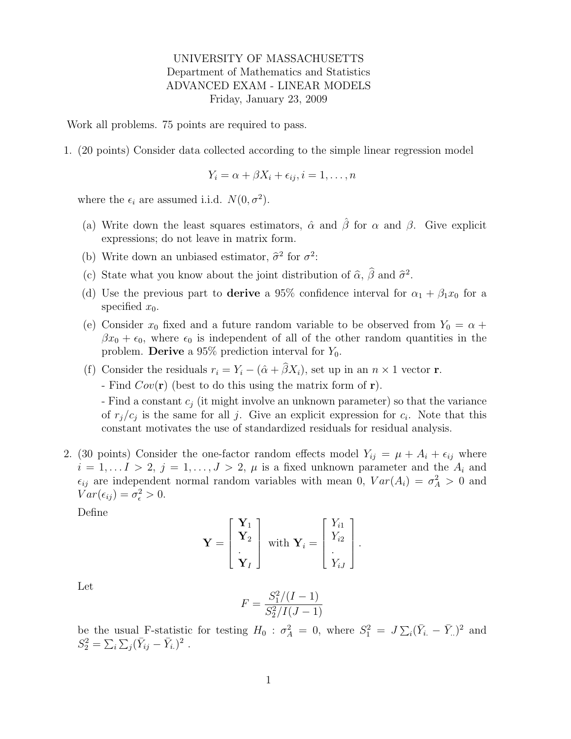## UNIVERSITY OF MASSACHUSETTS Department of Mathematics and Statistics ADVANCED EXAM - LINEAR MODELS Friday, January 23, 2009

Work all problems. 75 points are required to pass.

1. (20 points) Consider data collected according to the simple linear regression model

$$
Y_i = \alpha + \beta X_i + \epsilon_{ij}, i = 1, \dots, n
$$

where the  $\epsilon_i$  are assumed i.i.d.  $N(0, \sigma^2)$ .

- (a) Write down the least squares estimators,  $\hat{\alpha}$  and  $\hat{\beta}$  for  $\alpha$  and  $\beta$ . Give explicit expressions; do not leave in matrix form.
- (b) Write down an unbiased estimator,  $\hat{\sigma}^2$  for  $\sigma^2$ :
- (c) State what you know about the joint distribution of  $\hat{\alpha}$ ,  $\hat{\beta}$  and  $\hat{\sigma}^2$ .
- (d) Use the previous part to derive a 95% confidence interval for  $\alpha_1 + \beta_1 x_0$  for a specified  $x_0$ .
- (e) Consider  $x_0$  fixed and a future random variable to be observed from  $Y_0 = \alpha +$  $\beta x_0 + \epsilon_0$ , where  $\epsilon_0$  is independent of all of the other random quantities in the problem. **Derive** a 95% prediction interval for  $Y_0$ .
- (f) Consider the residuals  $r_i = Y_i (\hat{\alpha} + \hat{\beta}X_i)$ , set up in an  $n \times 1$  vector **r**.

- Find  $Cov(\mathbf{r})$  (best to do this using the matrix form of  $\mathbf{r}$ ).

- Find a constant  $c_j$  (it might involve an unknown parameter) so that the variance of  $r_j/c_j$  is the same for all j. Give an explicit expression for  $c_i$ . Note that this constant motivates the use of standardized residuals for residual analysis.

2. (30 points) Consider the one-factor random effects model  $Y_{ij} = \mu + A_i + \epsilon_{ij}$  where  $i = 1, \ldots I > 2, j = 1, \ldots, J > 2, \mu$  is a fixed unknown parameter and the  $A_i$  and  $\epsilon_{ij}$  are independent normal random variables with mean 0,  $Var(A_i) = \sigma_A^2 > 0$  and  $Var(\epsilon_{ij}) = \sigma_{\epsilon}^2 > 0.$ 

Define

$$
\mathbf{Y} = \begin{bmatrix} \mathbf{Y}_1 \\ \mathbf{Y}_2 \\ \vdots \\ \mathbf{Y}_I \end{bmatrix} \text{ with } \mathbf{Y}_i = \begin{bmatrix} Y_{i1} \\ Y_{i2} \\ \vdots \\ Y_{iJ} \end{bmatrix}.
$$

Let

$$
F = \frac{S_1^2/(I-1)}{S_2^2/I(J-1)}
$$

be the usual F-statistic for testing  $H_0$ :  $\sigma_A^2 = 0$ , where  $S_1^2 = J \sum_i (\bar{Y}_{i.} - \bar{Y}_{..})^2$  and  $S_2^2 = \sum_i \sum_j (\bar{Y}_{ij} - \bar{Y}_{i.})^2$ .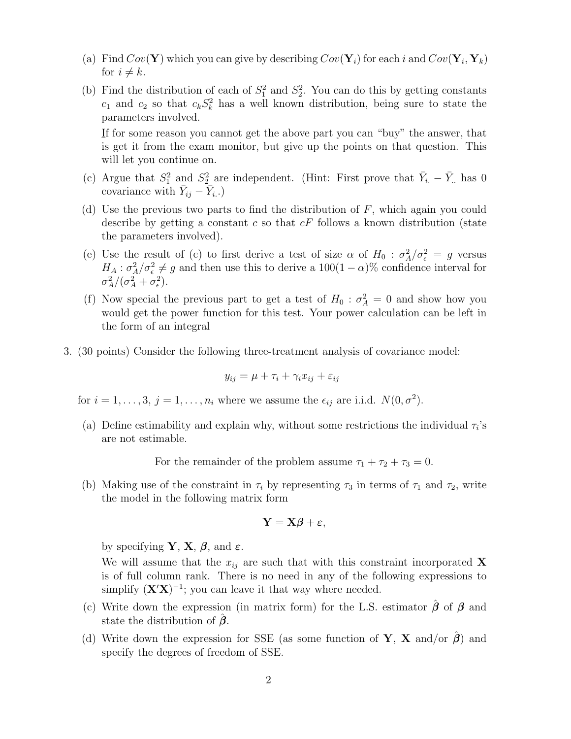- (a) Find  $Cov(\mathbf{Y})$  which you can give by describing  $Cov(\mathbf{Y}_i)$  for each i and  $Cov(\mathbf{Y}_i, \mathbf{Y}_k)$ for  $i \neq k$ .
- (b) Find the distribution of each of  $S_1^2$  and  $S_2^2$ . You can do this by getting constants  $c_1$  and  $c_2$  so that  $c_k S_k^2$  has a well known distribution, being sure to state the parameters involved.

I f for some reason you cannot get the above part you can "buy" the answer, that  $\frac{1}{2}$  is get it from the exam monitor, but give up the points on that question. This will let you continue on.

- (c) Argue that  $S_1^2$  and  $S_2^2$  are independent. (Hint: First prove that  $\bar{Y}_{i.} \bar{Y}_{..}$  has 0 covariance with  $\bar{Y}_{ij} - \bar{Y}_{i}$ .)
- (d) Use the previous two parts to find the distribution of  $F$ , which again you could describe by getting a constant c so that  $cF$  follows a known distribution (state the parameters involved).
- (e) Use the result of (c) to first derive a test of size  $\alpha$  of  $H_0$ :  $\sigma_A^2/\sigma_{\epsilon}^2 = g$  versus  $H_A: \sigma_A^2/\sigma_{\epsilon}^2 \neq g$  and then use this to derive a  $100(1-\alpha)\%$  confidence interval for  $\sigma_A^2/(\sigma_A^2+\sigma_\epsilon^2).$
- (f) Now special the previous part to get a test of  $H_0$ :  $\sigma_A^2 = 0$  and show how you would get the power function for this test. Your power calculation can be left in the form of an integral
- 3. (30 points) Consider the following three-treatment analysis of covariance model:

$$
y_{ij} = \mu + \tau_i + \gamma_i x_{ij} + \varepsilon_{ij}
$$

for  $i = 1, \ldots, 3, j = 1, \ldots, n_i$  where we assume the  $\epsilon_{ij}$  are i.i.d.  $N(0, \sigma^2)$ .

(a) Define estimability and explain why, without some restrictions the individual  $\tau_i$ 's are not estimable.

For the remainder of the problem assume  $\tau_1 + \tau_2 + \tau_3 = 0$ .

(b) Making use of the constraint in  $\tau_i$  by representing  $\tau_3$  in terms of  $\tau_1$  and  $\tau_2$ , write the model in the following matrix form

$$
\mathbf{Y}=\mathbf{X}\boldsymbol{\beta}+\boldsymbol{\varepsilon},
$$

by specifying **Y**, **X**,  $\beta$ , and  $\varepsilon$ .

We will assume that the  $x_{ij}$  are such that with this constraint incorporated X is of full column rank. There is no need in any of the following expressions to simplify  $(X'X)^{-1}$ ; you can leave it that way where needed.

- (c) Write down the expression (in matrix form) for the L.S. estimator  $\hat{\beta}$  of  $\beta$  and state the distribution of  $\beta$ .
- (d) Write down the expression for SSE (as some function of **Y**, **X** and/or  $\hat{\beta}$ ) and specify the degrees of freedom of SSE.